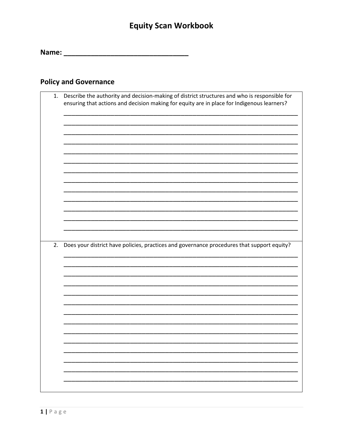### **Policy and Governance**

|    | ensuring that actions and decision making for equity are in place for Indigenous learners? |
|----|--------------------------------------------------------------------------------------------|
|    |                                                                                            |
|    |                                                                                            |
|    |                                                                                            |
|    |                                                                                            |
|    |                                                                                            |
|    |                                                                                            |
|    |                                                                                            |
| 2. | Does your district have policies, practices and governance procedures that support equity? |
|    |                                                                                            |
|    |                                                                                            |
|    |                                                                                            |
|    |                                                                                            |
|    |                                                                                            |
|    |                                                                                            |
|    |                                                                                            |
|    |                                                                                            |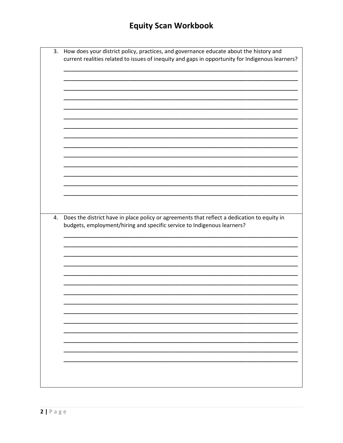| 3. | How does your district policy, practices, and governance educate about the history and<br>current realities related to issues of inequity and gaps in opportunity for Indigenous learners? |
|----|--------------------------------------------------------------------------------------------------------------------------------------------------------------------------------------------|
|    |                                                                                                                                                                                            |
|    |                                                                                                                                                                                            |
|    |                                                                                                                                                                                            |
|    |                                                                                                                                                                                            |
|    |                                                                                                                                                                                            |
|    |                                                                                                                                                                                            |
|    |                                                                                                                                                                                            |
|    |                                                                                                                                                                                            |
|    |                                                                                                                                                                                            |
|    |                                                                                                                                                                                            |
| 4. | Does the district have in place policy or agreements that reflect a dedication to equity in<br>budgets, employment/hiring and specific service to Indigenous learners?                     |
|    |                                                                                                                                                                                            |
|    |                                                                                                                                                                                            |
|    |                                                                                                                                                                                            |
|    |                                                                                                                                                                                            |
|    |                                                                                                                                                                                            |
|    |                                                                                                                                                                                            |
|    |                                                                                                                                                                                            |
|    |                                                                                                                                                                                            |
|    |                                                                                                                                                                                            |
|    |                                                                                                                                                                                            |
|    |                                                                                                                                                                                            |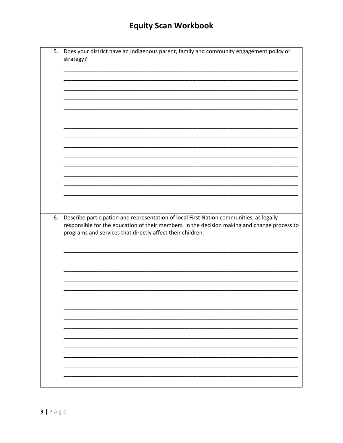| 5. | Does your district have an Indigenous parent, family and community engagement policy or<br>strategy?                                                                                                                                                  |
|----|-------------------------------------------------------------------------------------------------------------------------------------------------------------------------------------------------------------------------------------------------------|
|    |                                                                                                                                                                                                                                                       |
|    |                                                                                                                                                                                                                                                       |
|    |                                                                                                                                                                                                                                                       |
|    |                                                                                                                                                                                                                                                       |
|    |                                                                                                                                                                                                                                                       |
|    |                                                                                                                                                                                                                                                       |
| 6. | Describe participation and representation of local First Nation communities, as legally<br>responsible for the education of their members, in the decision making and change process to<br>programs and services that directly affect their children. |
|    |                                                                                                                                                                                                                                                       |
|    |                                                                                                                                                                                                                                                       |
|    |                                                                                                                                                                                                                                                       |
|    |                                                                                                                                                                                                                                                       |
|    |                                                                                                                                                                                                                                                       |
|    |                                                                                                                                                                                                                                                       |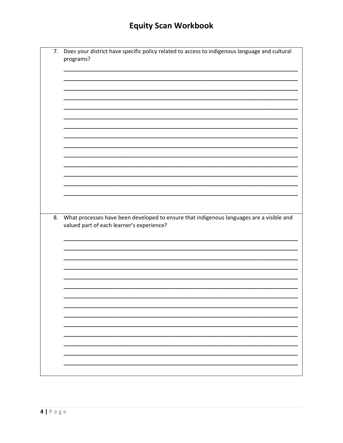| 7. | Does your district have specific policy related to access to indigenous language and cultural<br>programs?                            |
|----|---------------------------------------------------------------------------------------------------------------------------------------|
|    |                                                                                                                                       |
|    |                                                                                                                                       |
|    |                                                                                                                                       |
|    |                                                                                                                                       |
|    |                                                                                                                                       |
|    |                                                                                                                                       |
|    |                                                                                                                                       |
| 8. | What processes have been developed to ensure that indigenous languages are a visible and<br>valued part of each learner's experience? |
|    |                                                                                                                                       |
|    |                                                                                                                                       |
|    |                                                                                                                                       |
|    |                                                                                                                                       |
|    |                                                                                                                                       |
|    |                                                                                                                                       |
|    |                                                                                                                                       |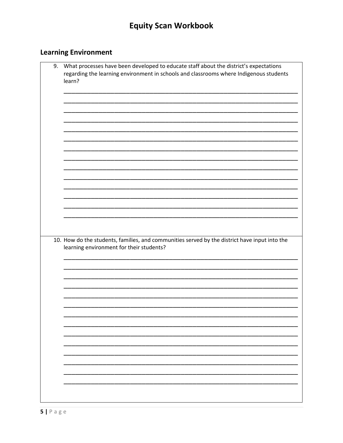### **Learning Environment**

| 9. | What processes have been developed to educate staff about the district's expectations<br>regarding the learning environment in schools and classrooms where Indigenous students<br>learn? |
|----|-------------------------------------------------------------------------------------------------------------------------------------------------------------------------------------------|
|    |                                                                                                                                                                                           |
|    |                                                                                                                                                                                           |
|    |                                                                                                                                                                                           |
|    |                                                                                                                                                                                           |
|    |                                                                                                                                                                                           |
|    |                                                                                                                                                                                           |
|    |                                                                                                                                                                                           |
|    |                                                                                                                                                                                           |
|    |                                                                                                                                                                                           |
|    | 10. How do the students, families, and communities served by the district have input into the<br>learning environment for their students?                                                 |
|    |                                                                                                                                                                                           |
|    |                                                                                                                                                                                           |
|    |                                                                                                                                                                                           |
|    |                                                                                                                                                                                           |
|    |                                                                                                                                                                                           |
|    |                                                                                                                                                                                           |
|    |                                                                                                                                                                                           |
|    |                                                                                                                                                                                           |
|    |                                                                                                                                                                                           |
|    |                                                                                                                                                                                           |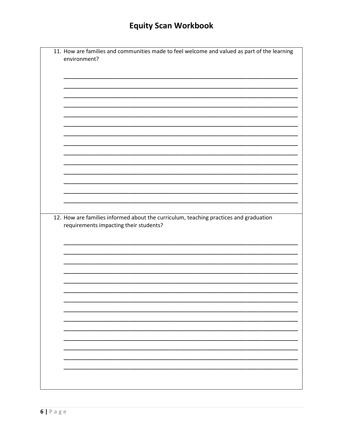| 11. How are families and communities made to feel welcome and valued as part of the learning<br>environment? |
|--------------------------------------------------------------------------------------------------------------|
|                                                                                                              |
|                                                                                                              |
|                                                                                                              |
|                                                                                                              |
|                                                                                                              |
|                                                                                                              |
|                                                                                                              |
|                                                                                                              |
|                                                                                                              |
|                                                                                                              |
|                                                                                                              |
| 12. How are families informed about the curriculum, teaching practices and graduation                        |
| requirements impacting their students?                                                                       |
|                                                                                                              |
|                                                                                                              |
|                                                                                                              |
|                                                                                                              |
|                                                                                                              |
|                                                                                                              |
|                                                                                                              |
|                                                                                                              |
|                                                                                                              |
|                                                                                                              |
|                                                                                                              |
|                                                                                                              |
|                                                                                                              |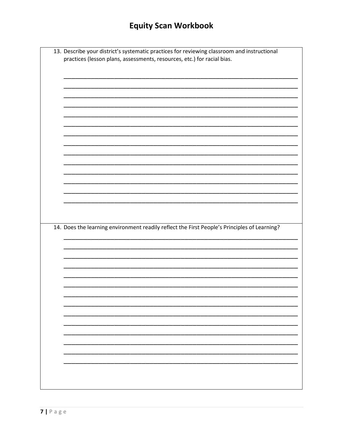| 13. Describe your district's systematic practices for reviewing classroom and instructional  |
|----------------------------------------------------------------------------------------------|
|                                                                                              |
| practices (lesson plans, assessments, resources, etc.) for racial bias.                      |
|                                                                                              |
|                                                                                              |
|                                                                                              |
|                                                                                              |
|                                                                                              |
|                                                                                              |
|                                                                                              |
|                                                                                              |
|                                                                                              |
|                                                                                              |
|                                                                                              |
|                                                                                              |
|                                                                                              |
|                                                                                              |
|                                                                                              |
|                                                                                              |
|                                                                                              |
|                                                                                              |
|                                                                                              |
|                                                                                              |
|                                                                                              |
|                                                                                              |
|                                                                                              |
|                                                                                              |
|                                                                                              |
|                                                                                              |
| 14. Does the learning environment readily reflect the First People's Principles of Learning? |
|                                                                                              |
|                                                                                              |
|                                                                                              |
|                                                                                              |
|                                                                                              |
|                                                                                              |
|                                                                                              |
|                                                                                              |
|                                                                                              |
|                                                                                              |
|                                                                                              |
|                                                                                              |
|                                                                                              |
|                                                                                              |
|                                                                                              |
|                                                                                              |
|                                                                                              |
|                                                                                              |
|                                                                                              |
|                                                                                              |
|                                                                                              |
|                                                                                              |
|                                                                                              |
|                                                                                              |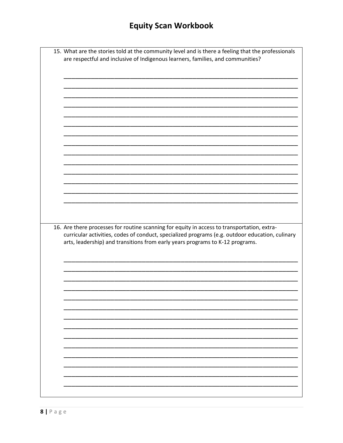| 15. What are the stories told at the community level and is there a feeling that the professionals |
|----------------------------------------------------------------------------------------------------|
| are respectful and inclusive of Indigenous learners, families, and communities?                    |
|                                                                                                    |
|                                                                                                    |
|                                                                                                    |
|                                                                                                    |
|                                                                                                    |
|                                                                                                    |
|                                                                                                    |
|                                                                                                    |
|                                                                                                    |
|                                                                                                    |
|                                                                                                    |
|                                                                                                    |
|                                                                                                    |
|                                                                                                    |
|                                                                                                    |
|                                                                                                    |
|                                                                                                    |
|                                                                                                    |
|                                                                                                    |
|                                                                                                    |
|                                                                                                    |
|                                                                                                    |
|                                                                                                    |
|                                                                                                    |
|                                                                                                    |
|                                                                                                    |
|                                                                                                    |
|                                                                                                    |
|                                                                                                    |
|                                                                                                    |
| 16. Are there processes for routine scanning for equity in access to transportation, extra-        |
| arts, leadership) and transitions from early years programs to K-12 programs.                      |
|                                                                                                    |
|                                                                                                    |
|                                                                                                    |
|                                                                                                    |
|                                                                                                    |
|                                                                                                    |
|                                                                                                    |
|                                                                                                    |
|                                                                                                    |
|                                                                                                    |
|                                                                                                    |
|                                                                                                    |
|                                                                                                    |
|                                                                                                    |
|                                                                                                    |
|                                                                                                    |
|                                                                                                    |
|                                                                                                    |
|                                                                                                    |
|                                                                                                    |
|                                                                                                    |
|                                                                                                    |
| curricular activities, codes of conduct, specialized programs (e.g. outdoor education, culinary    |
|                                                                                                    |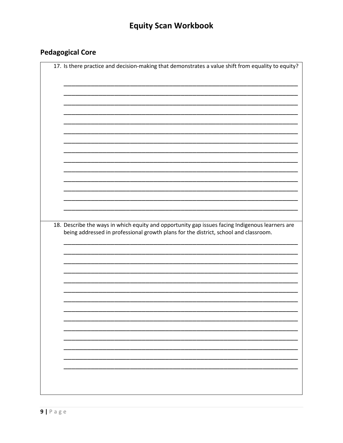### **Pedagogical Core**

| 18. Describe the ways in which equity and opportunity gap issues facing Indigenous learners are<br>being addressed in professional growth plans for the district, school and classroom. |  |  |  |
|-----------------------------------------------------------------------------------------------------------------------------------------------------------------------------------------|--|--|--|
|                                                                                                                                                                                         |  |  |  |
|                                                                                                                                                                                         |  |  |  |
|                                                                                                                                                                                         |  |  |  |
|                                                                                                                                                                                         |  |  |  |
|                                                                                                                                                                                         |  |  |  |
|                                                                                                                                                                                         |  |  |  |
|                                                                                                                                                                                         |  |  |  |
|                                                                                                                                                                                         |  |  |  |
|                                                                                                                                                                                         |  |  |  |
|                                                                                                                                                                                         |  |  |  |
|                                                                                                                                                                                         |  |  |  |
|                                                                                                                                                                                         |  |  |  |
|                                                                                                                                                                                         |  |  |  |
|                                                                                                                                                                                         |  |  |  |
|                                                                                                                                                                                         |  |  |  |
|                                                                                                                                                                                         |  |  |  |
|                                                                                                                                                                                         |  |  |  |
|                                                                                                                                                                                         |  |  |  |
|                                                                                                                                                                                         |  |  |  |
|                                                                                                                                                                                         |  |  |  |
|                                                                                                                                                                                         |  |  |  |
|                                                                                                                                                                                         |  |  |  |
|                                                                                                                                                                                         |  |  |  |
|                                                                                                                                                                                         |  |  |  |
|                                                                                                                                                                                         |  |  |  |
|                                                                                                                                                                                         |  |  |  |
|                                                                                                                                                                                         |  |  |  |
|                                                                                                                                                                                         |  |  |  |
|                                                                                                                                                                                         |  |  |  |
|                                                                                                                                                                                         |  |  |  |
|                                                                                                                                                                                         |  |  |  |
|                                                                                                                                                                                         |  |  |  |
|                                                                                                                                                                                         |  |  |  |
|                                                                                                                                                                                         |  |  |  |
|                                                                                                                                                                                         |  |  |  |
|                                                                                                                                                                                         |  |  |  |
|                                                                                                                                                                                         |  |  |  |
|                                                                                                                                                                                         |  |  |  |
|                                                                                                                                                                                         |  |  |  |
|                                                                                                                                                                                         |  |  |  |
|                                                                                                                                                                                         |  |  |  |
|                                                                                                                                                                                         |  |  |  |
|                                                                                                                                                                                         |  |  |  |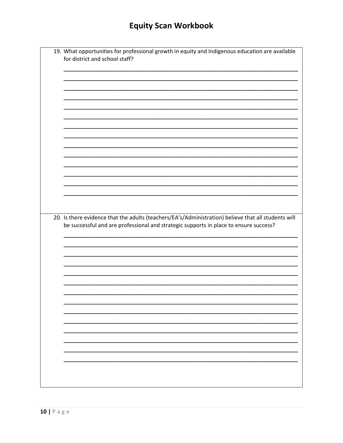| 19. What opportunities for professional growth in equity and Indigenous education are available     |
|-----------------------------------------------------------------------------------------------------|
| for district and school staff?                                                                      |
|                                                                                                     |
|                                                                                                     |
|                                                                                                     |
|                                                                                                     |
|                                                                                                     |
|                                                                                                     |
|                                                                                                     |
|                                                                                                     |
|                                                                                                     |
|                                                                                                     |
|                                                                                                     |
|                                                                                                     |
|                                                                                                     |
|                                                                                                     |
|                                                                                                     |
|                                                                                                     |
|                                                                                                     |
|                                                                                                     |
|                                                                                                     |
|                                                                                                     |
|                                                                                                     |
|                                                                                                     |
|                                                                                                     |
|                                                                                                     |
|                                                                                                     |
|                                                                                                     |
|                                                                                                     |
|                                                                                                     |
|                                                                                                     |
| be successful and are professional and strategic supports in place to ensure success?               |
|                                                                                                     |
|                                                                                                     |
|                                                                                                     |
|                                                                                                     |
|                                                                                                     |
|                                                                                                     |
|                                                                                                     |
|                                                                                                     |
|                                                                                                     |
|                                                                                                     |
|                                                                                                     |
|                                                                                                     |
|                                                                                                     |
|                                                                                                     |
|                                                                                                     |
|                                                                                                     |
|                                                                                                     |
|                                                                                                     |
|                                                                                                     |
|                                                                                                     |
|                                                                                                     |
|                                                                                                     |
|                                                                                                     |
| 20. Is there evidence that the adults (teachers/EA's/Administration) believe that all students will |
|                                                                                                     |
|                                                                                                     |
|                                                                                                     |
|                                                                                                     |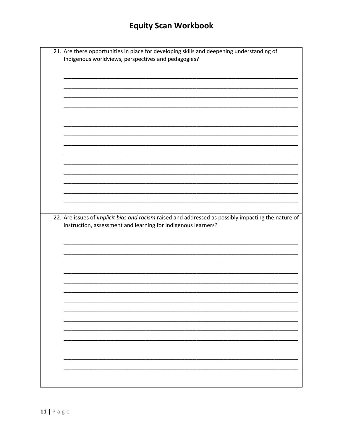| 21. Are there opportunities in place for developing skills and deepening understanding of<br>Indigenous worldviews, perspectives and pedagogies? |
|--------------------------------------------------------------------------------------------------------------------------------------------------|
|                                                                                                                                                  |
|                                                                                                                                                  |
|                                                                                                                                                  |
|                                                                                                                                                  |
|                                                                                                                                                  |
|                                                                                                                                                  |
|                                                                                                                                                  |
|                                                                                                                                                  |
|                                                                                                                                                  |
|                                                                                                                                                  |
| 22. Are issues of implicit bias and racism raised and addressed as possibly impacting the nature of                                              |
| instruction, assessment and learning for Indigenous learners?                                                                                    |
|                                                                                                                                                  |
|                                                                                                                                                  |
|                                                                                                                                                  |
|                                                                                                                                                  |
|                                                                                                                                                  |
|                                                                                                                                                  |
|                                                                                                                                                  |
|                                                                                                                                                  |
|                                                                                                                                                  |
|                                                                                                                                                  |
|                                                                                                                                                  |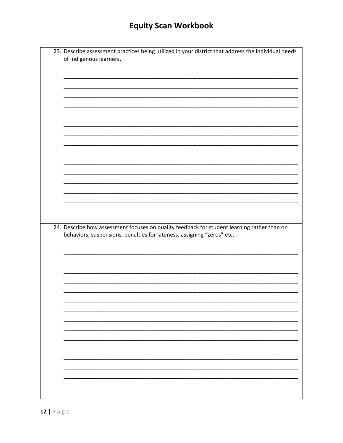| 23. Describe assessment practices being utilized in your district that address the individual needs |
|-----------------------------------------------------------------------------------------------------|
| of Indigenous learners.                                                                             |
|                                                                                                     |
|                                                                                                     |
|                                                                                                     |
|                                                                                                     |
|                                                                                                     |
|                                                                                                     |
|                                                                                                     |
|                                                                                                     |
|                                                                                                     |
|                                                                                                     |
|                                                                                                     |
|                                                                                                     |
|                                                                                                     |
|                                                                                                     |
|                                                                                                     |
|                                                                                                     |
|                                                                                                     |
|                                                                                                     |
| 24. Describe how assessment focuses on quality feedback for student learning rather than on         |
| behaviors, suspensions, penalties for lateness, assigning "zeros" etc.                              |
|                                                                                                     |
|                                                                                                     |
|                                                                                                     |
|                                                                                                     |
|                                                                                                     |
|                                                                                                     |
|                                                                                                     |
|                                                                                                     |
|                                                                                                     |
|                                                                                                     |
|                                                                                                     |
|                                                                                                     |
|                                                                                                     |
|                                                                                                     |
|                                                                                                     |
|                                                                                                     |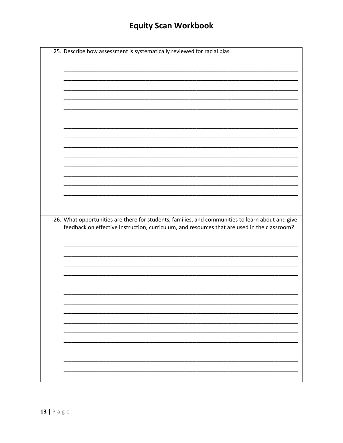| 26. What opportunities are there for students, families, and communities to learn about and give<br>feedback on effective instruction, curriculum, and resources that are used in the classroom? |  |  |  |
|--------------------------------------------------------------------------------------------------------------------------------------------------------------------------------------------------|--|--|--|
|                                                                                                                                                                                                  |  |  |  |
|                                                                                                                                                                                                  |  |  |  |
|                                                                                                                                                                                                  |  |  |  |
|                                                                                                                                                                                                  |  |  |  |
|                                                                                                                                                                                                  |  |  |  |
|                                                                                                                                                                                                  |  |  |  |
|                                                                                                                                                                                                  |  |  |  |
|                                                                                                                                                                                                  |  |  |  |
|                                                                                                                                                                                                  |  |  |  |
|                                                                                                                                                                                                  |  |  |  |
|                                                                                                                                                                                                  |  |  |  |
|                                                                                                                                                                                                  |  |  |  |
|                                                                                                                                                                                                  |  |  |  |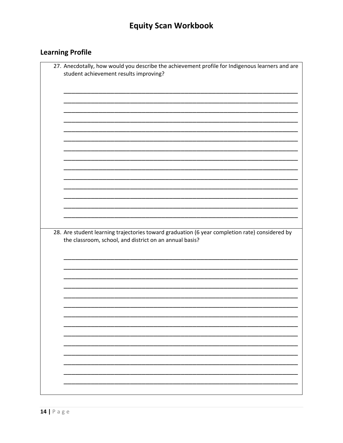### **Learning Profile**

| 27. Anecdotally, how would you describe the achievement profile for Indigenous learners and are<br>student achievement results improving? |
|-------------------------------------------------------------------------------------------------------------------------------------------|
|                                                                                                                                           |
|                                                                                                                                           |
|                                                                                                                                           |
|                                                                                                                                           |
|                                                                                                                                           |
|                                                                                                                                           |
|                                                                                                                                           |
|                                                                                                                                           |
|                                                                                                                                           |
|                                                                                                                                           |
|                                                                                                                                           |
|                                                                                                                                           |
|                                                                                                                                           |
|                                                                                                                                           |
|                                                                                                                                           |
| the classroom, school, and district on an annual basis?                                                                                   |
|                                                                                                                                           |
|                                                                                                                                           |
|                                                                                                                                           |
|                                                                                                                                           |
|                                                                                                                                           |
|                                                                                                                                           |
|                                                                                                                                           |
|                                                                                                                                           |
|                                                                                                                                           |
|                                                                                                                                           |
|                                                                                                                                           |
| 28. Are student learning trajectories toward graduation (6 year completion rate) considered by                                            |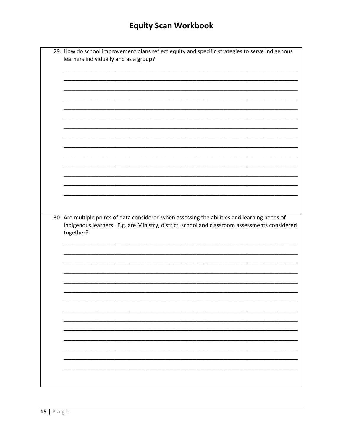|  | 29. How do school improvement plans reflect equity and specific strategies to serve Indigenous<br>learners individually and as a group? |
|--|-----------------------------------------------------------------------------------------------------------------------------------------|
|  |                                                                                                                                         |
|  |                                                                                                                                         |
|  |                                                                                                                                         |
|  |                                                                                                                                         |
|  |                                                                                                                                         |
|  |                                                                                                                                         |
|  |                                                                                                                                         |
|  |                                                                                                                                         |
|  |                                                                                                                                         |
|  |                                                                                                                                         |
|  |                                                                                                                                         |
|  |                                                                                                                                         |
|  | 30. Are multiple points of data considered when assessing the abilities and learning needs of<br>together?                              |
|  |                                                                                                                                         |
|  |                                                                                                                                         |
|  |                                                                                                                                         |
|  |                                                                                                                                         |
|  |                                                                                                                                         |
|  |                                                                                                                                         |
|  |                                                                                                                                         |
|  |                                                                                                                                         |
|  |                                                                                                                                         |
|  | Indigenous learners. E.g. are Ministry, district, school and classroom assessments considered                                           |
|  |                                                                                                                                         |